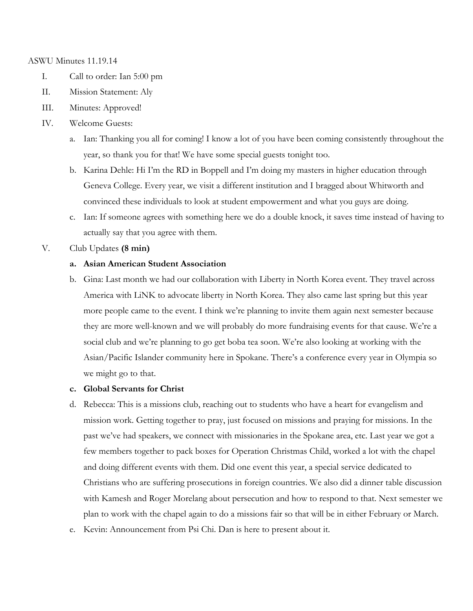#### ASWU Minutes 11.19.14

- I. Call to order: Ian 5:00 pm
- II. Mission Statement: Aly
- III. Minutes: Approved!
- IV. Welcome Guests:
	- a. Ian: Thanking you all for coming! I know a lot of you have been coming consistently throughout the year, so thank you for that! We have some special guests tonight too.
	- b. Karina Dehle: Hi I'm the RD in Boppell and I'm doing my masters in higher education through Geneva College. Every year, we visit a different institution and I bragged about Whitworth and convinced these individuals to look at student empowerment and what you guys are doing.
	- c. Ian: If someone agrees with something here we do a double knock, it saves time instead of having to actually say that you agree with them.
- V. Club Updates **(8 min)**

#### **a. Asian American Student Association**

b. Gina: Last month we had our collaboration with Liberty in North Korea event. They travel across America with LiNK to advocate liberty in North Korea. They also came last spring but this year more people came to the event. I think we're planning to invite them again next semester because they are more well-known and we will probably do more fundraising events for that cause. We're a social club and we're planning to go get boba tea soon. We're also looking at working with the Asian/Pacific Islander community here in Spokane. There's a conference every year in Olympia so we might go to that.

#### **c. Global Servants for Christ**

- d. Rebecca: This is a missions club, reaching out to students who have a heart for evangelism and mission work. Getting together to pray, just focused on missions and praying for missions. In the past we've had speakers, we connect with missionaries in the Spokane area, etc. Last year we got a few members together to pack boxes for Operation Christmas Child, worked a lot with the chapel and doing different events with them. Did one event this year, a special service dedicated to Christians who are suffering prosecutions in foreign countries. We also did a dinner table discussion with Kamesh and Roger Morelang about persecution and how to respond to that. Next semester we plan to work with the chapel again to do a missions fair so that will be in either February or March.
- e. Kevin: Announcement from Psi Chi. Dan is here to present about it.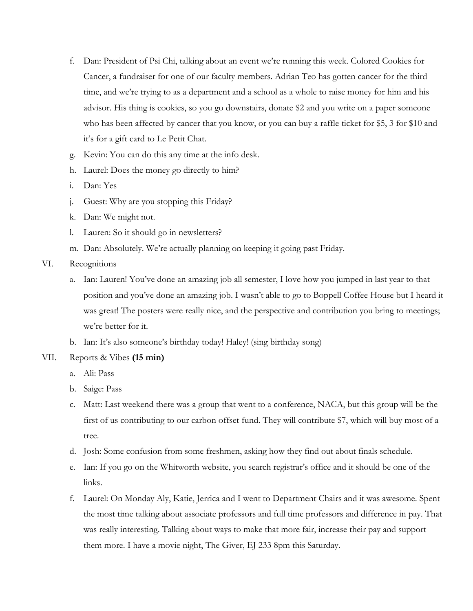- f. Dan: President of Psi Chi, talking about an event we're running this week. Colored Cookies for Cancer, a fundraiser for one of our faculty members. Adrian Teo has gotten cancer for the third time, and we're trying to as a department and a school as a whole to raise money for him and his advisor. His thing is cookies, so you go downstairs, donate \$2 and you write on a paper someone who has been affected by cancer that you know, or you can buy a raffle ticket for \$5, 3 for \$10 and it's for a gift card to Le Petit Chat.
- g. Kevin: You can do this any time at the info desk.
- h. Laurel: Does the money go directly to him?
- i. Dan: Yes
- j. Guest: Why are you stopping this Friday?
- k. Dan: We might not.
- l. Lauren: So it should go in newsletters?
- m. Dan: Absolutely. We're actually planning on keeping it going past Friday.
- VI. Recognitions
	- a. Ian: Lauren! You've done an amazing job all semester, I love how you jumped in last year to that position and you've done an amazing job. I wasn't able to go to Boppell Coffee House but I heard it was great! The posters were really nice, and the perspective and contribution you bring to meetings; we're better for it.
	- b. Ian: It's also someone's birthday today! Haley! (sing birthday song)

## VII. Reports & Vibes **(15 min)**

- a. Ali: Pass
- b. Saige: Pass
- c. Matt: Last weekend there was a group that went to a conference, NACA, but this group will be the first of us contributing to our carbon offset fund. They will contribute \$7, which will buy most of a tree.
- d. Josh: Some confusion from some freshmen, asking how they find out about finals schedule.
- e. Ian: If you go on the Whitworth website, you search registrar's office and it should be one of the links.
- f. Laurel: On Monday Aly, Katie, Jerrica and I went to Department Chairs and it was awesome. Spent the most time talking about associate professors and full time professors and difference in pay. That was really interesting. Talking about ways to make that more fair, increase their pay and support them more. I have a movie night, The Giver, EJ 233 8pm this Saturday.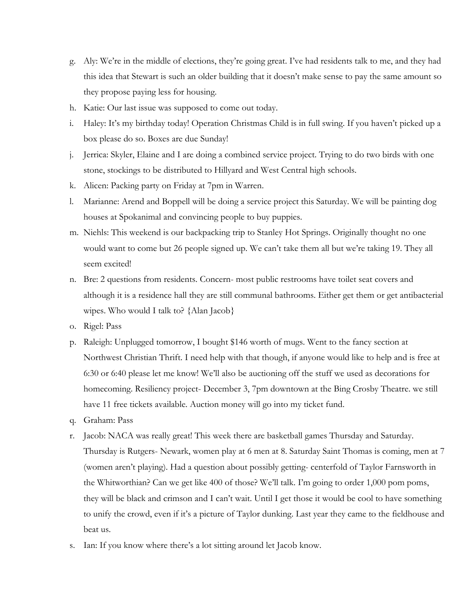- g. Aly: We're in the middle of elections, they're going great. I've had residents talk to me, and they had this idea that Stewart is such an older building that it doesn't make sense to pay the same amount so they propose paying less for housing.
- h. Katie: Our last issue was supposed to come out today.
- i. Haley: It's my birthday today! Operation Christmas Child is in full swing. If you haven't picked up a box please do so. Boxes are due Sunday!
- j. Jerrica: Skyler, Elaine and I are doing a combined service project. Trying to do two birds with one stone, stockings to be distributed to Hillyard and West Central high schools.
- k. Alicen: Packing party on Friday at 7pm in Warren.
- l. Marianne: Arend and Boppell will be doing a service project this Saturday. We will be painting dog houses at Spokanimal and convincing people to buy puppies.
- m. Niehls: This weekend is our backpacking trip to Stanley Hot Springs. Originally thought no one would want to come but 26 people signed up. We can't take them all but we're taking 19. They all seem excited!
- n. Bre: 2 questions from residents. Concern- most public restrooms have toilet seat covers and although it is a residence hall they are still communal bathrooms. Either get them or get antibacterial wipes. Who would I talk to? {Alan Jacob}
- o. Rigel: Pass
- p. Raleigh: Unplugged tomorrow, I bought \$146 worth of mugs. Went to the fancy section at Northwest Christian Thrift. I need help with that though, if anyone would like to help and is free at 6:30 or 6:40 please let me know! We'll also be auctioning off the stuff we used as decorations for homecoming. Resiliency project- December 3, 7pm downtown at the Bing Crosby Theatre. we still have 11 free tickets available. Auction money will go into my ticket fund.
- q. Graham: Pass
- r. Jacob: NACA was really great! This week there are basketball games Thursday and Saturday. Thursday is Rutgers- Newark, women play at 6 men at 8. Saturday Saint Thomas is coming, men at 7 (women aren't playing). Had a question about possibly getting- centerfold of Taylor Farnsworth in the Whitworthian? Can we get like 400 of those? We'll talk. I'm going to order 1,000 pom poms, they will be black and crimson and I can't wait. Until I get those it would be cool to have something to unify the crowd, even if it's a picture of Taylor dunking. Last year they came to the fieldhouse and beat us.
- s. Ian: If you know where there's a lot sitting around let Jacob know.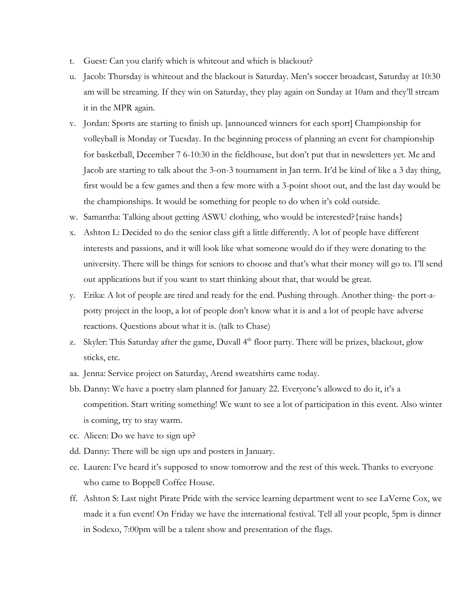- t. Guest: Can you clarify which is whiteout and which is blackout?
- u. Jacob: Thursday is whiteout and the blackout is Saturday. Men's soccer broadcast, Saturday at 10:30 am will be streaming. If they win on Saturday, they play again on Sunday at 10am and they'll stream it in the MPR again.
- v. Jordan: Sports are starting to finish up. [announced winners for each sport] Championship for volleyball is Monday or Tuesday. In the beginning process of planning an event for championship for basketball, December 7 6-10:30 in the fieldhouse, but don't put that in newsletters yet. Me and Jacob are starting to talk about the 3-on-3 tournament in Jan term. It'd be kind of like a 3 day thing, first would be a few games and then a few more with a 3-point shoot out, and the last day would be the championships. It would be something for people to do when it's cold outside.
- w. Samantha: Talking about getting ASWU clothing, who would be interested? {raise hands}
- x. Ashton L: Decided to do the senior class gift a little differently. A lot of people have different interests and passions, and it will look like what someone would do if they were donating to the university. There will be things for seniors to choose and that's what their money will go to. I'll send out applications but if you want to start thinking about that, that would be great.
- y. Erika: A lot of people are tired and ready for the end. Pushing through. Another thing- the port-apotty project in the loop, a lot of people don't know what it is and a lot of people have adverse reactions. Questions about what it is. (talk to Chase)
- z. Skyler: This Saturday after the game, Duvall 4<sup>th</sup> floor party. There will be prizes, blackout, glow sticks, etc.
- aa. Jenna: Service project on Saturday, Arend sweatshirts came today.
- bb. Danny: We have a poetry slam planned for January 22. Everyone's allowed to do it, it's a competition. Start writing something! We want to see a lot of participation in this event. Also winter is coming, try to stay warm.
- cc. Alicen: Do we have to sign up?
- dd. Danny: There will be sign ups and posters in January.
- ee. Lauren: I've heard it's supposed to snow tomorrow and the rest of this week. Thanks to everyone who came to Boppell Coffee House.
- ff. Ashton S: Last night Pirate Pride with the service learning department went to see LaVerne Cox, we made it a fun event! On Friday we have the international festival. Tell all your people, 5pm is dinner in Sodexo, 7:00pm will be a talent show and presentation of the flags.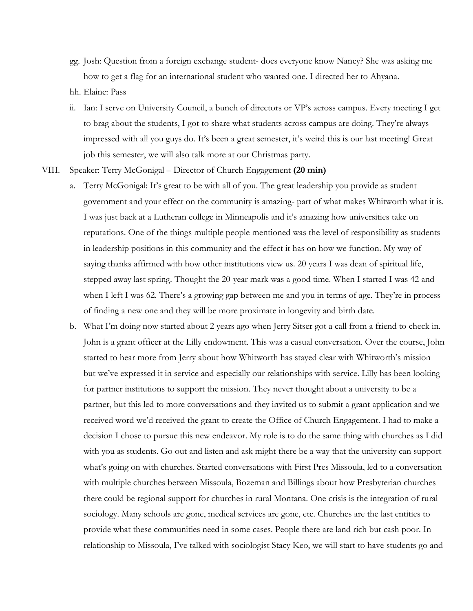gg. Josh: Question from a foreign exchange student- does everyone know Nancy? She was asking me how to get a flag for an international student who wanted one. I directed her to Ahyana.

hh. Elaine: Pass

- ii. Ian: I serve on University Council, a bunch of directors or VP's across campus. Every meeting I get to brag about the students, I got to share what students across campus are doing. They're always impressed with all you guys do. It's been a great semester, it's weird this is our last meeting! Great job this semester, we will also talk more at our Christmas party.
- VIII. Speaker: Terry McGonigal Director of Church Engagement **(20 min)**
	- a. Terry McGonigal: It's great to be with all of you. The great leadership you provide as student government and your effect on the community is amazing- part of what makes Whitworth what it is. I was just back at a Lutheran college in Minneapolis and it's amazing how universities take on reputations. One of the things multiple people mentioned was the level of responsibility as students in leadership positions in this community and the effect it has on how we function. My way of saying thanks affirmed with how other institutions view us. 20 years I was dean of spiritual life, stepped away last spring. Thought the 20-year mark was a good time. When I started I was 42 and when I left I was 62. There's a growing gap between me and you in terms of age. They're in process of finding a new one and they will be more proximate in longevity and birth date.
	- b. What I'm doing now started about 2 years ago when Jerry Sitser got a call from a friend to check in. John is a grant officer at the Lilly endowment. This was a casual conversation. Over the course, John started to hear more from Jerry about how Whitworth has stayed clear with Whitworth's mission but we've expressed it in service and especially our relationships with service. Lilly has been looking for partner institutions to support the mission. They never thought about a university to be a partner, but this led to more conversations and they invited us to submit a grant application and we received word we'd received the grant to create the Office of Church Engagement. I had to make a decision I chose to pursue this new endeavor. My role is to do the same thing with churches as I did with you as students. Go out and listen and ask might there be a way that the university can support what's going on with churches. Started conversations with First Pres Missoula, led to a conversation with multiple churches between Missoula, Bozeman and Billings about how Presbyterian churches there could be regional support for churches in rural Montana. One crisis is the integration of rural sociology. Many schools are gone, medical services are gone, etc. Churches are the last entities to provide what these communities need in some cases. People there are land rich but cash poor. In relationship to Missoula, I've talked with sociologist Stacy Keo, we will start to have students go and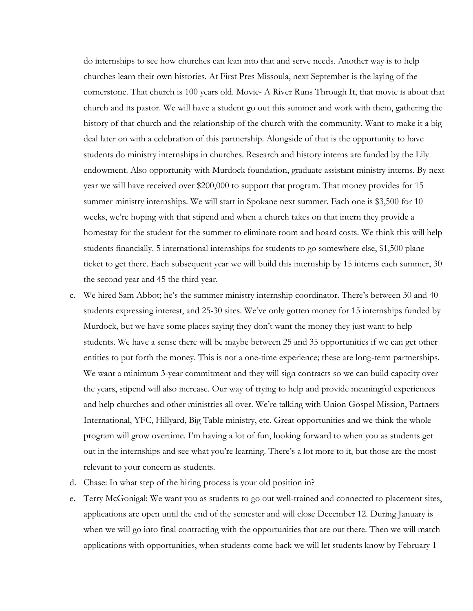do internships to see how churches can lean into that and serve needs. Another way is to help churches learn their own histories. At First Pres Missoula, next September is the laying of the cornerstone. That church is 100 years old. Movie- A River Runs Through It, that movie is about that church and its pastor. We will have a student go out this summer and work with them, gathering the history of that church and the relationship of the church with the community. Want to make it a big deal later on with a celebration of this partnership. Alongside of that is the opportunity to have students do ministry internships in churches. Research and history interns are funded by the Lily endowment. Also opportunity with Murdock foundation, graduate assistant ministry interns. By next year we will have received over \$200,000 to support that program. That money provides for 15 summer ministry internships. We will start in Spokane next summer. Each one is \$3,500 for 10 weeks, we're hoping with that stipend and when a church takes on that intern they provide a homestay for the student for the summer to eliminate room and board costs. We think this will help students financially. 5 international internships for students to go somewhere else, \$1,500 plane ticket to get there. Each subsequent year we will build this internship by 15 interns each summer, 30 the second year and 45 the third year.

- c. We hired Sam Abbot; he's the summer ministry internship coordinator. There's between 30 and 40 students expressing interest, and 25-30 sites. We've only gotten money for 15 internships funded by Murdock, but we have some places saying they don't want the money they just want to help students. We have a sense there will be maybe between 25 and 35 opportunities if we can get other entities to put forth the money. This is not a one-time experience; these are long-term partnerships. We want a minimum 3-year commitment and they will sign contracts so we can build capacity over the years, stipend will also increase. Our way of trying to help and provide meaningful experiences and help churches and other ministries all over. We're talking with Union Gospel Mission, Partners International, YFC, Hillyard, Big Table ministry, etc. Great opportunities and we think the whole program will grow overtime. I'm having a lot of fun, looking forward to when you as students get out in the internships and see what you're learning. There's a lot more to it, but those are the most relevant to your concern as students.
- d. Chase: In what step of the hiring process is your old position in?
- e. Terry McGonigal: We want you as students to go out well-trained and connected to placement sites, applications are open until the end of the semester and will close December 12. During January is when we will go into final contracting with the opportunities that are out there. Then we will match applications with opportunities, when students come back we will let students know by February 1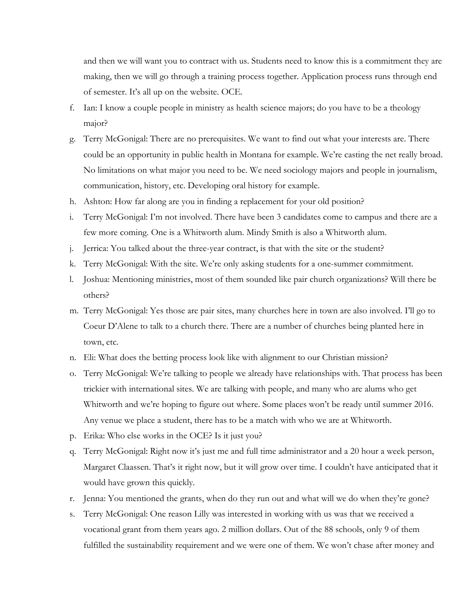and then we will want you to contract with us. Students need to know this is a commitment they are making, then we will go through a training process together. Application process runs through end of semester. It's all up on the website. OCE.

- f. Ian: I know a couple people in ministry as health science majors; do you have to be a theology major?
- g. Terry McGonigal: There are no prerequisites. We want to find out what your interests are. There could be an opportunity in public health in Montana for example. We're casting the net really broad. No limitations on what major you need to be. We need sociology majors and people in journalism, communication, history, etc. Developing oral history for example.
- h. Ashton: How far along are you in finding a replacement for your old position?
- i. Terry McGonigal: I'm not involved. There have been 3 candidates come to campus and there are a few more coming. One is a Whitworth alum. Mindy Smith is also a Whitworth alum.
- j. Jerrica: You talked about the three-year contract, is that with the site or the student?
- k. Terry McGonigal: With the site. We're only asking students for a one-summer commitment.
- l. Joshua: Mentioning ministries, most of them sounded like pair church organizations? Will there be others?
- m. Terry McGonigal: Yes those are pair sites, many churches here in town are also involved. I'll go to Coeur D'Alene to talk to a church there. There are a number of churches being planted here in town, etc.
- n. Eli: What does the betting process look like with alignment to our Christian mission?
- o. Terry McGonigal: We're talking to people we already have relationships with. That process has been trickier with international sites. We are talking with people, and many who are alums who get Whitworth and we're hoping to figure out where. Some places won't be ready until summer 2016. Any venue we place a student, there has to be a match with who we are at Whitworth.
- p. Erika: Who else works in the OCE? Is it just you?
- q. Terry McGonigal: Right now it's just me and full time administrator and a 20 hour a week person, Margaret Claassen. That's it right now, but it will grow over time. I couldn't have anticipated that it would have grown this quickly.
- r. Jenna: You mentioned the grants, when do they run out and what will we do when they're gone?
- s. Terry McGonigal: One reason Lilly was interested in working with us was that we received a vocational grant from them years ago. 2 million dollars. Out of the 88 schools, only 9 of them fulfilled the sustainability requirement and we were one of them. We won't chase after money and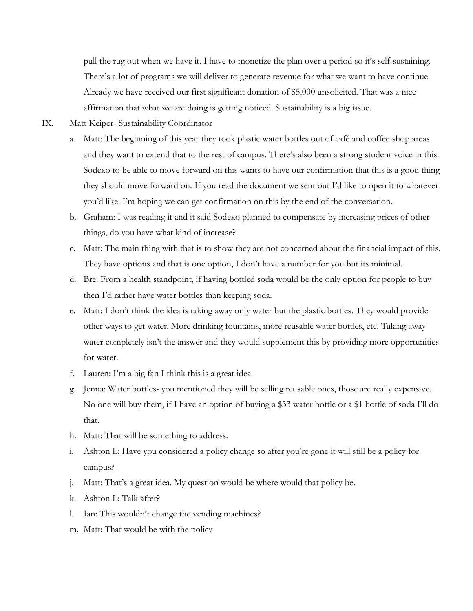pull the rug out when we have it. I have to monetize the plan over a period so it's self-sustaining. There's a lot of programs we will deliver to generate revenue for what we want to have continue. Already we have received our first significant donation of \$5,000 unsolicited. That was a nice affirmation that what we are doing is getting noticed. Sustainability is a big issue.

- IX. Matt Keiper- Sustainability Coordinator
	- a. Matt: The beginning of this year they took plastic water bottles out of café and coffee shop areas and they want to extend that to the rest of campus. There's also been a strong student voice in this. Sodexo to be able to move forward on this wants to have our confirmation that this is a good thing they should move forward on. If you read the document we sent out I'd like to open it to whatever you'd like. I'm hoping we can get confirmation on this by the end of the conversation.
	- b. Graham: I was reading it and it said Sodexo planned to compensate by increasing prices of other things, do you have what kind of increase?
	- c. Matt: The main thing with that is to show they are not concerned about the financial impact of this. They have options and that is one option, I don't have a number for you but its minimal.
	- d. Bre: From a health standpoint, if having bottled soda would be the only option for people to buy then I'd rather have water bottles than keeping soda.
	- e. Matt: I don't think the idea is taking away only water but the plastic bottles. They would provide other ways to get water. More drinking fountains, more reusable water bottles, etc. Taking away water completely isn't the answer and they would supplement this by providing more opportunities for water.
	- f. Lauren: I'm a big fan I think this is a great idea.
	- g. Jenna: Water bottles- you mentioned they will be selling reusable ones, those are really expensive. No one will buy them, if I have an option of buying a \$33 water bottle or a \$1 bottle of soda I'll do that.
	- h. Matt: That will be something to address.
	- i. Ashton L: Have you considered a policy change so after you're gone it will still be a policy for campus?
	- j. Matt: That's a great idea. My question would be where would that policy be.
	- k. Ashton L: Talk after?
	- l. Ian: This wouldn't change the vending machines?
	- m. Matt: That would be with the policy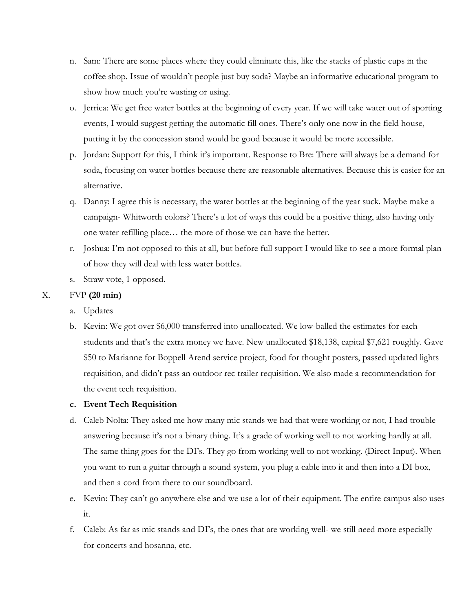- n. Sam: There are some places where they could eliminate this, like the stacks of plastic cups in the coffee shop. Issue of wouldn't people just buy soda? Maybe an informative educational program to show how much you're wasting or using.
- o. Jerrica: We get free water bottles at the beginning of every year. If we will take water out of sporting events, I would suggest getting the automatic fill ones. There's only one now in the field house, putting it by the concession stand would be good because it would be more accessible.
- p. Jordan: Support for this, I think it's important. Response to Bre: There will always be a demand for soda, focusing on water bottles because there are reasonable alternatives. Because this is easier for an alternative.
- q. Danny: I agree this is necessary, the water bottles at the beginning of the year suck. Maybe make a campaign- Whitworth colors? There's a lot of ways this could be a positive thing, also having only one water refilling place… the more of those we can have the better.
- r. Joshua: I'm not opposed to this at all, but before full support I would like to see a more formal plan of how they will deal with less water bottles.
- s. Straw vote, 1 opposed.

# X. FVP **(20 min)**

- a. Updates
- b. Kevin: We got over \$6,000 transferred into unallocated. We low-balled the estimates for each students and that's the extra money we have. New unallocated \$18,138, capital \$7,621 roughly. Gave \$50 to Marianne for Boppell Arend service project, food for thought posters, passed updated lights requisition, and didn't pass an outdoor rec trailer requisition. We also made a recommendation for the event tech requisition.

## **c. Event Tech Requisition**

- d. Caleb Nolta: They asked me how many mic stands we had that were working or not, I had trouble answering because it's not a binary thing. It's a grade of working well to not working hardly at all. The same thing goes for the DI's. They go from working well to not working. (Direct Input). When you want to run a guitar through a sound system, you plug a cable into it and then into a DI box, and then a cord from there to our soundboard.
- e. Kevin: They can't go anywhere else and we use a lot of their equipment. The entire campus also uses it.
- f. Caleb: As far as mic stands and DI's, the ones that are working well- we still need more especially for concerts and hosanna, etc.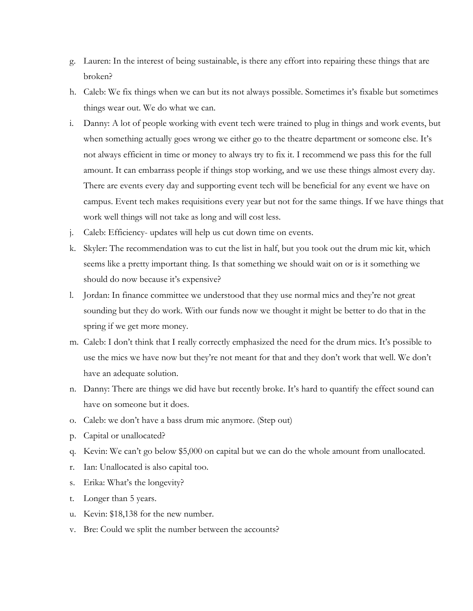- g. Lauren: In the interest of being sustainable, is there any effort into repairing these things that are broken?
- h. Caleb: We fix things when we can but its not always possible. Sometimes it's fixable but sometimes things wear out. We do what we can.
- i. Danny: A lot of people working with event tech were trained to plug in things and work events, but when something actually goes wrong we either go to the theatre department or someone else. It's not always efficient in time or money to always try to fix it. I recommend we pass this for the full amount. It can embarrass people if things stop working, and we use these things almost every day. There are events every day and supporting event tech will be beneficial for any event we have on campus. Event tech makes requisitions every year but not for the same things. If we have things that work well things will not take as long and will cost less.
- j. Caleb: Efficiency- updates will help us cut down time on events.
- k. Skyler: The recommendation was to cut the list in half, but you took out the drum mic kit, which seems like a pretty important thing. Is that something we should wait on or is it something we should do now because it's expensive?
- l. Jordan: In finance committee we understood that they use normal mics and they're not great sounding but they do work. With our funds now we thought it might be better to do that in the spring if we get more money.
- m. Caleb: I don't think that I really correctly emphasized the need for the drum mics. It's possible to use the mics we have now but they're not meant for that and they don't work that well. We don't have an adequate solution.
- n. Danny: There are things we did have but recently broke. It's hard to quantify the effect sound can have on someone but it does.
- o. Caleb: we don't have a bass drum mic anymore. (Step out)
- p. Capital or unallocated?
- q. Kevin: We can't go below \$5,000 on capital but we can do the whole amount from unallocated.
- r. Ian: Unallocated is also capital too.
- s. Erika: What's the longevity?
- t. Longer than 5 years.
- u. Kevin: \$18,138 for the new number.
- v. Bre: Could we split the number between the accounts?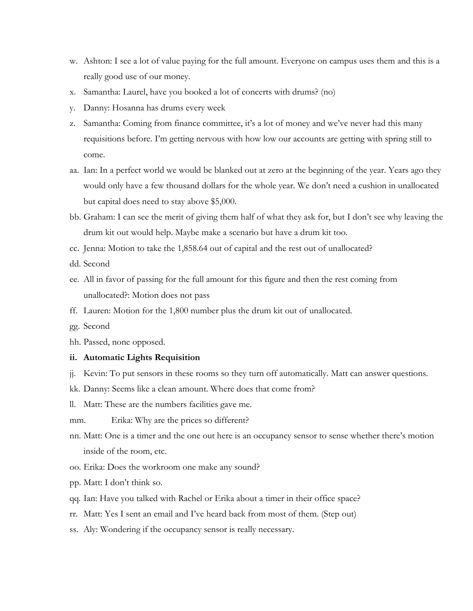- w. Ashton: I see a lot of value paying for the full amount. Everyone on campus uses them and this is a really good use of our money.
- x. Samantha: Laurel, have you booked a lot of concerts with drums? (no)
- y. Danny: Hosanna has drums every week
- z. Samantha: Coming from finance committee, it's a lot of money and we've never had this many requisitions before. I'm getting nervous with how low our accounts are getting with spring still to come.
- aa. Ian: In a perfect world we would be blanked out at zero at the beginning of the year. Years ago they would only have a few thousand dollars for the whole year. We don't need a cushion in unallocated but capital does need to stay above \$5,000.
- bb. Graham: I can see the merit of giving them half of what they ask for, but I don't see why leaving the drum kit out would help. Maybe make a scenario but have a drum kit too.
- cc. Jenna: Motion to take the 1,858.64 out of capital and the rest out of unallocated?
- dd. Second
- ee. All in favor of passing for the full amount for this figure and then the rest coming from unallocated?: Motion does not pass
- ff. Lauren: Motion for the 1,800 number plus the drum kit out of unallocated.
- gg. Second
- hh. Passed, none opposed.

#### **ii. Automatic Lights Requisition**

- jj. Kevin: To put sensors in these rooms so they turn off automatically. Matt can answer questions.
- kk. Danny: Seems like a clean amount. Where does that come from?
- ll. Matt: These are the numbers facilities gave me.
- mm. Erika: Why are the prices so different?
- nn. Matt: One is a timer and the one out here is an occupancy sensor to sense whether there's motion inside of the room, etc.
- oo. Erika: Does the workroom one make any sound?
- pp. Matt: I don't think so.
- qq. Ian: Have you talked with Rachel or Erika about a timer in their office space?
- rr. Matt: Yes I sent an email and I've heard back from most of them. (Step out)
- ss. Aly: Wondering if the occupancy sensor is really necessary.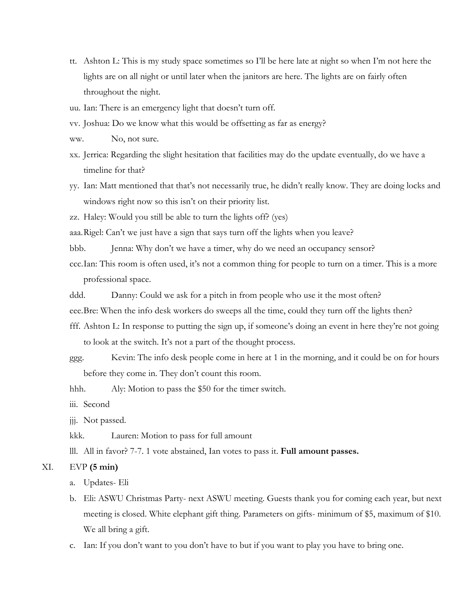tt. Ashton L: This is my study space sometimes so I'll be here late at night so when I'm not here the lights are on all night or until later when the janitors are here. The lights are on fairly often throughout the night.

uu. Ian: There is an emergency light that doesn't turn off.

vv. Joshua: Do we know what this would be offsetting as far as energy?

ww. No, not sure.

- xx. Jerrica: Regarding the slight hesitation that facilities may do the update eventually, do we have a timeline for that?
- yy. Ian: Matt mentioned that that's not necessarily true, he didn't really know. They are doing locks and windows right now so this isn't on their priority list.

zz. Haley: Would you still be able to turn the lights off? (yes)

aaa.Rigel: Can't we just have a sign that says turn off the lights when you leave?

bbb. Jenna: Why don't we have a timer, why do we need an occupancy sensor?

- ccc.Ian: This room is often used, it's not a common thing for people to turn on a timer. This is a more professional space.
- ddd. Danny: Could we ask for a pitch in from people who use it the most often?

eee.Bre: When the info desk workers do sweeps all the time, could they turn off the lights then?

- fff. Ashton L: In response to putting the sign up, if someone's doing an event in here they're not going to look at the switch. It's not a part of the thought process.
- ggg. Kevin: The info desk people come in here at 1 in the morning, and it could be on for hours before they come in. They don't count this room.

hhh. Aly: Motion to pass the \$50 for the timer switch.

iii. Second

jjj. Not passed.

kkk. Lauren: Motion to pass for full amount

lll. All in favor? 7-7. 1 vote abstained, Ian votes to pass it. **Full amount passes.**

#### XI. EVP **(5 min)**

a. Updates- Eli

- b. Eli: ASWU Christmas Party- next ASWU meeting. Guests thank you for coming each year, but next meeting is closed. White elephant gift thing. Parameters on gifts- minimum of \$5, maximum of \$10. We all bring a gift.
- c. Ian: If you don't want to you don't have to but if you want to play you have to bring one.